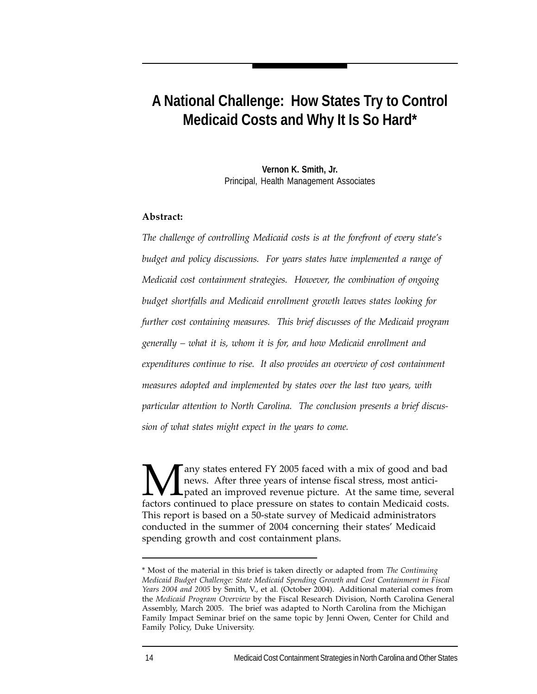# **A National Challenge: How States Try to Control Medicaid Costs and Why It Is So Hard\***

**Vernon K. Smith, Jr.** Principal, Health Management Associates

#### **Abstract:**

*The challenge of controlling Medicaid costs is at the forefront of every state's budget and policy discussions. For years states have implemented a range of Medicaid cost containment strategies. However, the combination of ongoing budget shortfalls and Medicaid enrollment growth leaves states looking for further cost containing measures. This brief discusses of the Medicaid program generally – what it is, whom it is for, and how Medicaid enrollment and expenditures continue to rise. It also provides an overview of cost containment measures adopted and implemented by states over the last two years, with particular attention to North Carolina. The conclusion presents a brief discussion of what states might expect in the years to come.*

**M** any states entered FY 2005 faced with a mix of good and bad news. After three years of intense fiscal stress, most antici-<br>factors continued to place pressure on states to contain Medicaid costs news. After three years of intense fiscal stress, most anticipated an improved revenue picture. At the same time, several factors continued to place pressure on states to contain Medicaid costs. This report is based on a 50-state survey of Medicaid administrators conducted in the summer of 2004 concerning their states' Medicaid spending growth and cost containment plans.

<sup>\*</sup> Most of the material in this brief is taken directly or adapted from *The Continuing Medicaid Budget Challenge: State Medicaid Spending Growth and Cost Containment in Fiscal Years 2004 and 2005* by Smith, V., et al. (October 2004). Additional material comes from the *Medicaid Program Overview* by the Fiscal Research Division, North Carolina General Assembly, March 2005. The brief was adapted to North Carolina from the Michigan Family Impact Seminar brief on the same topic by Jenni Owen, Center for Child and Family Policy, Duke University.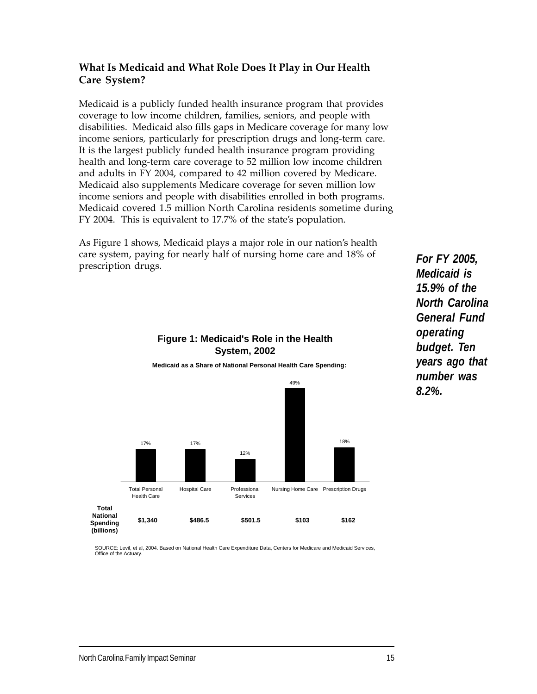# **What Is Medicaid and What Role Does It Play in Our Health Care System?**

Medicaid is a publicly funded health insurance program that provides coverage to low income children, families, seniors, and people with disabilities. Medicaid also fills gaps in Medicare coverage for many low income seniors, particularly for prescription drugs and long-term care. It is the largest publicly funded health insurance program providing health and long-term care coverage to 52 million low income children and adults in FY 2004, compared to 42 million covered by Medicare. Medicaid also supplements Medicare coverage for seven million low income seniors and people with disabilities enrolled in both programs. Medicaid covered 1.5 million North Carolina residents sometime during FY 2004. This is equivalent to 17.7% of the state's population.

As Figure 1 shows, Medicaid plays a major role in our nation's health care system, paying for nearly half of nursing home care and 18% of prescription drugs.

> **Figure 1: Medicaid's Role in the Health System, 2002**



*operating*

*For FY 2005, Medicaid is 15.9% of the North Carolina General Fund budget. Ten years ago that number was 8.2%.*

SOURCE: Levil, et al, 2004. Based on National Health Care Expenditure Data, Centers for Medicare and Medicaid Services, Office of the Actuary.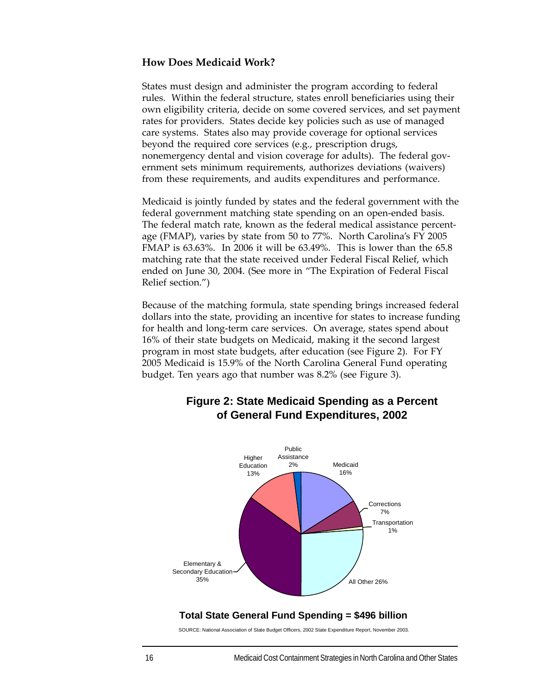#### **How Does Medicaid Work?**

States must design and administer the program according to federal rules. Within the federal structure, states enroll beneficiaries using their own eligibility criteria, decide on some covered services, and set payment rates for providers. States decide key policies such as use of managed care systems. States also may provide coverage for optional services beyond the required core services (e.g., prescription drugs, nonemergency dental and vision coverage for adults). The federal government sets minimum requirements, authorizes deviations (waivers) from these requirements, and audits expenditures and performance.

Medicaid is jointly funded by states and the federal government with the federal government matching state spending on an open-ended basis. The federal match rate, known as the federal medical assistance percentage (FMAP), varies by state from 50 to 77%. North Carolina's FY 2005 FMAP is 63.63%. In 2006 it will be 63.49%. This is lower than the 65.8 matching rate that the state received under Federal Fiscal Relief, which ended on June 30, 2004. (See more in "The Expiration of Federal Fiscal Relief section.")

Because of the matching formula, state spending brings increased federal dollars into the state, providing an incentive for states to increase funding for health and long-term care services. On average, states spend about 16% of their state budgets on Medicaid, making it the second largest program in most state budgets, after education (see Figure 2). For FY 2005 Medicaid is 15.9% of the North Carolina General Fund operating budget. Ten years ago that number was 8.2% (see Figure 3).



# **Figure 2: State Medicaid Spending as a Percent of General Fund Expenditures, 2002**

#### **Total State General Fund Spending = \$496 billion**

SOURCE: National Association of State Budget Officers, 2002 State Expenditure Report, November 2003.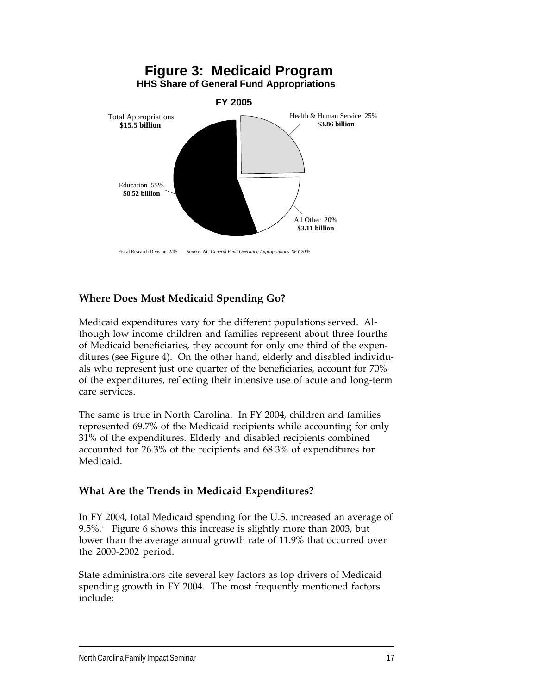

#### Fiscal Research Division 2/05 *Source: NC General Fund Operating Appropriations SFY 2005*

# **Where Does Most Medicaid Spending Go?**

Medicaid expenditures vary for the different populations served. Although low income children and families represent about three fourths of Medicaid beneficiaries, they account for only one third of the expenditures (see Figure 4). On the other hand, elderly and disabled individuals who represent just one quarter of the beneficiaries, account for 70% of the expenditures, reflecting their intensive use of acute and long-term care services.

The same is true in North Carolina. In FY 2004, children and families represented 69.7% of the Medicaid recipients while accounting for only 31% of the expenditures. Elderly and disabled recipients combined accounted for 26.3% of the recipients and 68.3% of expenditures for Medicaid.

#### **What Are the Trends in Medicaid Expenditures?**

In FY 2004, total Medicaid spending for the U.S. increased an average of  $9.5\%$ <sup>1</sup> Figure 6 shows this increase is slightly more than 2003, but lower than the average annual growth rate of 11.9% that occurred over the 2000-2002 period.

State administrators cite several key factors as top drivers of Medicaid spending growth in FY 2004. The most frequently mentioned factors include: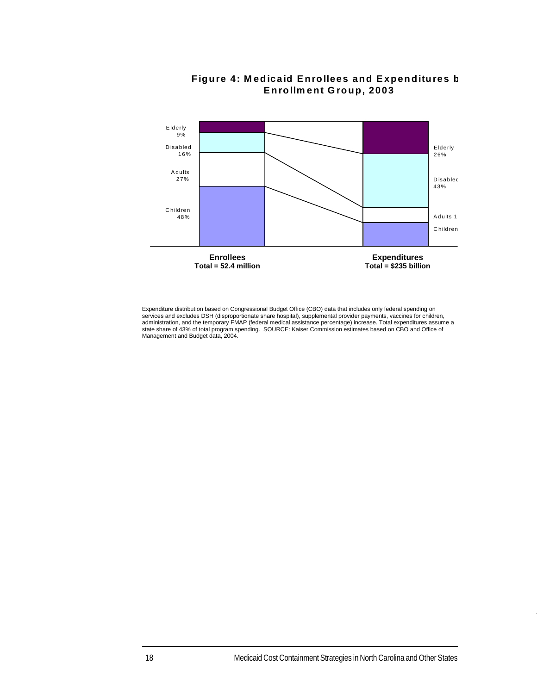

# **Figure 4: M edicaid Enrollees and Expenditures b Enrollm ent Group, 2003**

Expenditure distribution based on Congressional Budget Office (CBO) data that includes only federal spending on services and excludes DSH (disproportionate share hospital), supplemental provider payments, vaccines for children,<br>administration, and the temporary FMAP (federal medical assistance percentage) increase. Total expenditure Management and Budget data, 2004.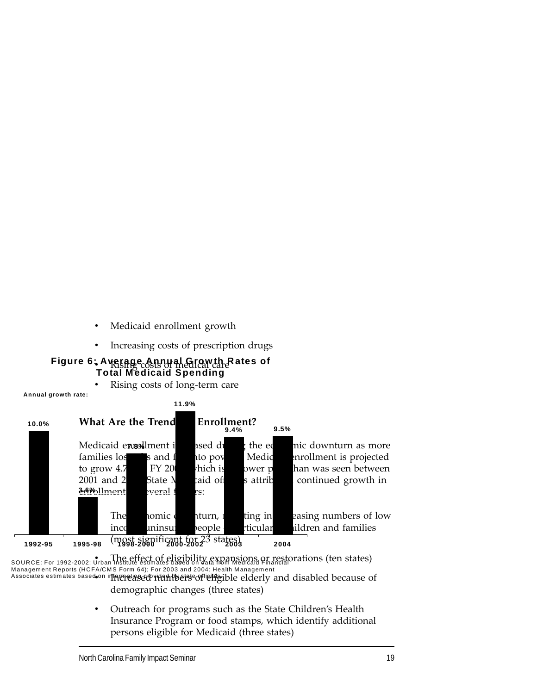- Medicaid enrollment growth
- Increasing costs of prescription drugs

#### • Rising costs of medical care **Figure 6: Average Annual Growth Rates of Total Medicaid Spending**

• Rising costs of long-term care

**Annual growth rate:** 



source: For 1992-2002: Urban Institute estimates based on data from Medicald Financial Crations (ten states) Associates estimates based on informeigserp righthleise of lehigible elderly and disabled because of Management Reports (HCFA/CMS Form 64); For 2003 and 2004: Health Managem ent

demographic changes (three states)

• Outreach for programs such as the State Children's Health Insurance Program or food stamps, which identify additional persons eligible for Medicaid (three states)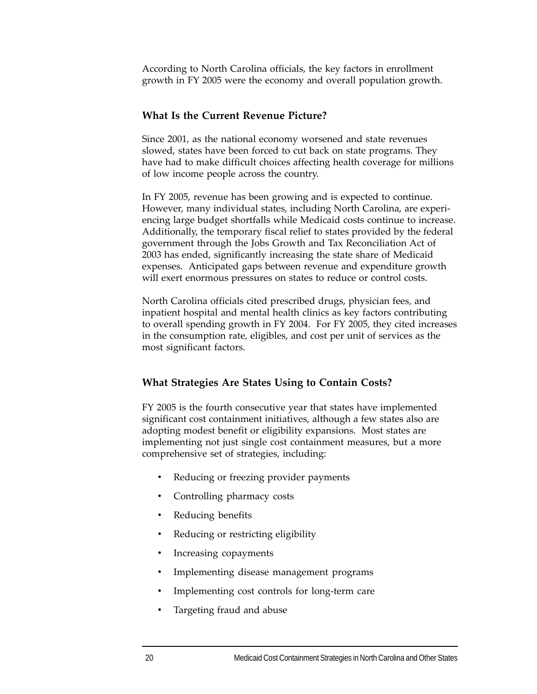According to North Carolina officials, the key factors in enrollment growth in FY 2005 were the economy and overall population growth.

#### **What Is the Current Revenue Picture?**

Since 2001, as the national economy worsened and state revenues slowed, states have been forced to cut back on state programs. They have had to make difficult choices affecting health coverage for millions of low income people across the country.

In FY 2005, revenue has been growing and is expected to continue. However, many individual states, including North Carolina, are experiencing large budget shortfalls while Medicaid costs continue to increase. Additionally, the temporary fiscal relief to states provided by the federal government through the Jobs Growth and Tax Reconciliation Act of 2003 has ended, significantly increasing the state share of Medicaid expenses. Anticipated gaps between revenue and expenditure growth will exert enormous pressures on states to reduce or control costs.

North Carolina officials cited prescribed drugs, physician fees, and inpatient hospital and mental health clinics as key factors contributing to overall spending growth in FY 2004. For FY 2005, they cited increases in the consumption rate, eligibles, and cost per unit of services as the most significant factors.

#### **What Strategies Are States Using to Contain Costs?**

FY 2005 is the fourth consecutive year that states have implemented significant cost containment initiatives, although a few states also are adopting modest benefit or eligibility expansions. Most states are implementing not just single cost containment measures, but a more comprehensive set of strategies, including:

- Reducing or freezing provider payments
- Controlling pharmacy costs
- Reducing benefits
- Reducing or restricting eligibility
- Increasing copayments
- Implementing disease management programs
- Implementing cost controls for long-term care
- Targeting fraud and abuse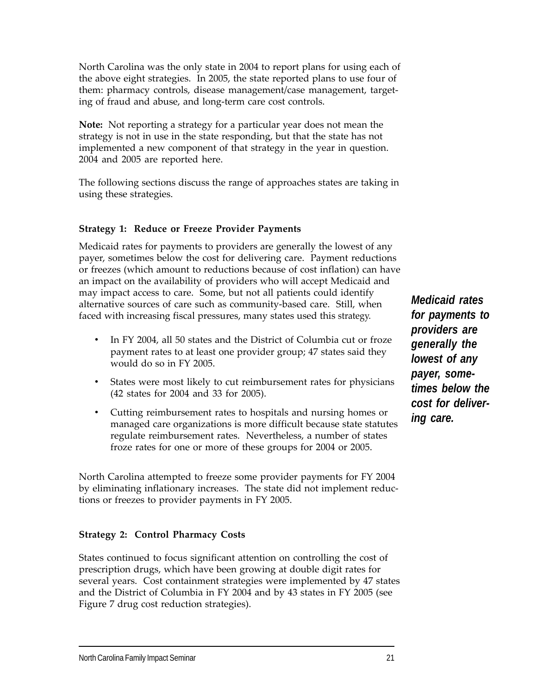North Carolina was the only state in 2004 to report plans for using each of the above eight strategies. In 2005, the state reported plans to use four of them: pharmacy controls, disease management/case management, targeting of fraud and abuse, and long-term care cost controls.

**Note:** Not reporting a strategy for a particular year does not mean the strategy is not in use in the state responding, but that the state has not implemented a new component of that strategy in the year in question. 2004 and 2005 are reported here.

The following sections discuss the range of approaches states are taking in using these strategies.

#### **Strategy 1: Reduce or Freeze Provider Payments**

Medicaid rates for payments to providers are generally the lowest of any payer, sometimes below the cost for delivering care. Payment reductions or freezes (which amount to reductions because of cost inflation) can have an impact on the availability of providers who will accept Medicaid and may impact access to care. Some, but not all patients could identify alternative sources of care such as community-based care. Still, when faced with increasing fiscal pressures, many states used this strategy.

- In FY 2004, all 50 states and the District of Columbia cut or froze payment rates to at least one provider group; 47 states said they would do so in FY 2005.
- States were most likely to cut reimbursement rates for physicians (42 states for 2004 and 33 for 2005).
- Cutting reimbursement rates to hospitals and nursing homes or managed care organizations is more difficult because state statutes regulate reimbursement rates. Nevertheless, a number of states froze rates for one or more of these groups for 2004 or 2005.

North Carolina attempted to freeze some provider payments for FY 2004 by eliminating inflationary increases. The state did not implement reductions or freezes to provider payments in FY 2005.

#### **Strategy 2: Control Pharmacy Costs**

States continued to focus significant attention on controlling the cost of prescription drugs, which have been growing at double digit rates for several years. Cost containment strategies were implemented by 47 states and the District of Columbia in FY 2004 and by 43 states in FY 2005 (see Figure 7 drug cost reduction strategies).

*Medicaid rates for payments to providers are generally the lowest of any payer, sometimes below the cost for delivering care.*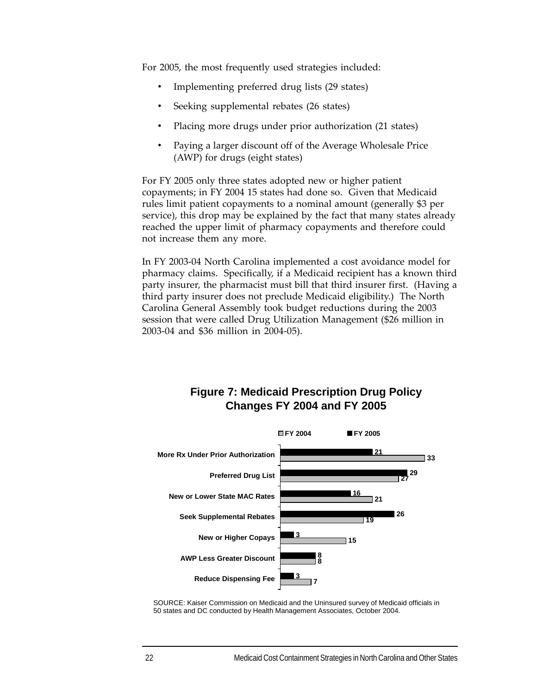For 2005, the most frequently used strategies included:

- Implementing preferred drug lists (29 states)
- Seeking supplemental rebates (26 states)
- Placing more drugs under prior authorization (21 states)
- Paying a larger discount off of the Average Wholesale Price (AWP) for drugs (eight states)

For FY 2005 only three states adopted new or higher patient copayments; in FY 2004 15 states had done so. Given that Medicaid rules limit patient copayments to a nominal amount (generally \$3 per service), this drop may be explained by the fact that many states already reached the upper limit of pharmacy copayments and therefore could not increase them any more.

In FY 2003-04 North Carolina implemented a cost avoidance model for pharmacy claims. Specifically, if a Medicaid recipient has a known third party insurer, the pharmacist must bill that third insurer first. (Having a third party insurer does not preclude Medicaid eligibility.) The North Carolina General Assembly took budget reductions during the 2003 session that were called Drug Utilization Management (\$26 million in 2003-04 and \$36 million in 2004-05).

# **Figure 7: Medicaid Prescription Drug Policy Changes FY 2004 and FY 2005**



SOURCE: Kaiser Commission on Medicaid and the Uninsured survey of Medicaid officials in 50 states and DC conducted by Health Management Associates, October 2004.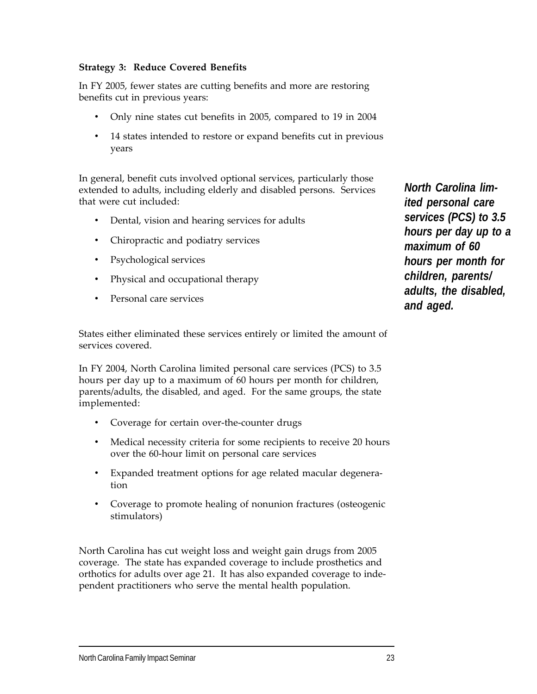# **Strategy 3: Reduce Covered Benefits**

In FY 2005, fewer states are cutting benefits and more are restoring benefits cut in previous years:

- Only nine states cut benefits in 2005, compared to 19 in 2004
- 14 states intended to restore or expand benefits cut in previous years

In general, benefit cuts involved optional services, particularly those extended to adults, including elderly and disabled persons. Services that were cut included:

- Dental, vision and hearing services for adults
- Chiropractic and podiatry services
- Psychological services
- Physical and occupational therapy
- Personal care services

States either eliminated these services entirely or limited the amount of services covered.

In FY 2004, North Carolina limited personal care services (PCS) to 3.5 hours per day up to a maximum of 60 hours per month for children, parents/adults, the disabled, and aged. For the same groups, the state implemented:

- Coverage for certain over-the-counter drugs
- Medical necessity criteria for some recipients to receive 20 hours over the 60-hour limit on personal care services
- Expanded treatment options for age related macular degeneration
- Coverage to promote healing of nonunion fractures (osteogenic stimulators)

North Carolina has cut weight loss and weight gain drugs from 2005 coverage. The state has expanded coverage to include prosthetics and orthotics for adults over age 21. It has also expanded coverage to independent practitioners who serve the mental health population.

*North Carolina limited personal care services (PCS) to 3.5 hours per day up to a maximum of 60 hours per month for children, parents/ adults, the disabled, and aged.*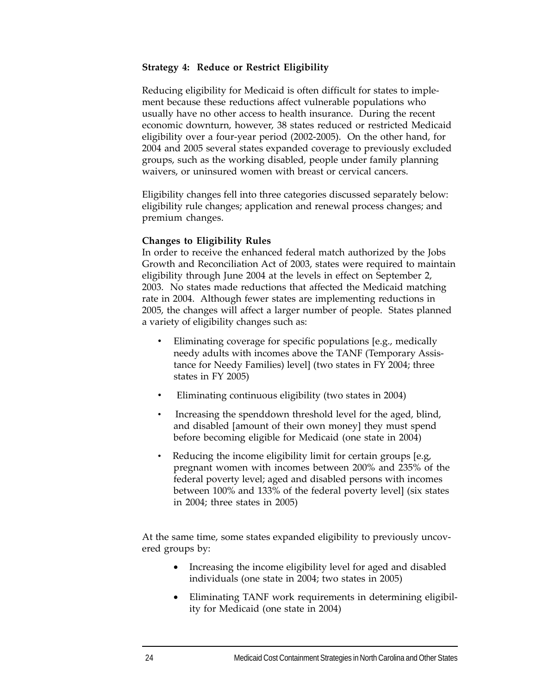#### **Strategy 4: Reduce or Restrict Eligibility**

Reducing eligibility for Medicaid is often difficult for states to implement because these reductions affect vulnerable populations who usually have no other access to health insurance. During the recent economic downturn, however, 38 states reduced or restricted Medicaid eligibility over a four-year period (2002-2005). On the other hand, for 2004 and 2005 several states expanded coverage to previously excluded groups, such as the working disabled, people under family planning waivers, or uninsured women with breast or cervical cancers.

Eligibility changes fell into three categories discussed separately below: eligibility rule changes; application and renewal process changes; and premium changes.

#### **Changes to Eligibility Rules**

In order to receive the enhanced federal match authorized by the Jobs Growth and Reconciliation Act of 2003, states were required to maintain eligibility through June 2004 at the levels in effect on September 2, 2003. No states made reductions that affected the Medicaid matching rate in 2004. Although fewer states are implementing reductions in 2005, the changes will affect a larger number of people. States planned a variety of eligibility changes such as:

- Eliminating coverage for specific populations [e.g., medically needy adults with incomes above the TANF (Temporary Assistance for Needy Families) level] (two states in FY 2004; three states in FY 2005)
- Eliminating continuous eligibility (two states in 2004)
- Increasing the spenddown threshold level for the aged, blind, and disabled [amount of their own money] they must spend before becoming eligible for Medicaid (one state in 2004)
- Reducing the income eligibility limit for certain groups [e.g, pregnant women with incomes between 200% and 235% of the federal poverty level; aged and disabled persons with incomes between 100% and 133% of the federal poverty level] (six states in 2004; three states in 2005)

At the same time, some states expanded eligibility to previously uncovered groups by:

- Increasing the income eligibility level for aged and disabled individuals (one state in 2004; two states in 2005)
- Eliminating TANF work requirements in determining eligibility for Medicaid (one state in 2004)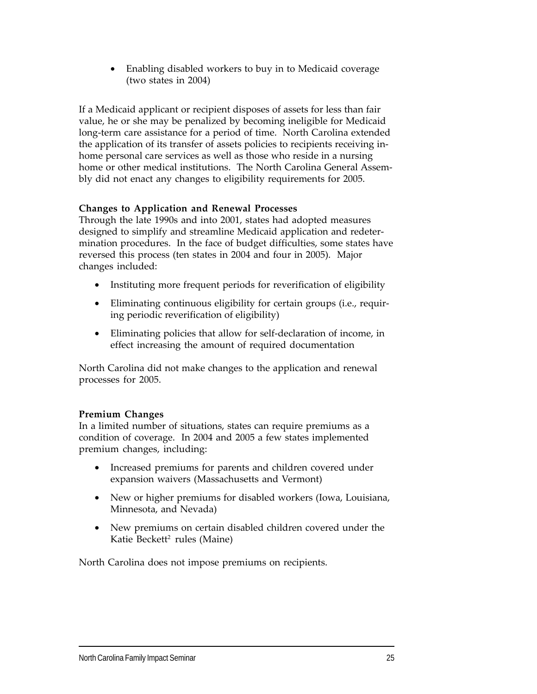• Enabling disabled workers to buy in to Medicaid coverage (two states in 2004)

If a Medicaid applicant or recipient disposes of assets for less than fair value, he or she may be penalized by becoming ineligible for Medicaid long-term care assistance for a period of time. North Carolina extended the application of its transfer of assets policies to recipients receiving inhome personal care services as well as those who reside in a nursing home or other medical institutions. The North Carolina General Assembly did not enact any changes to eligibility requirements for 2005.

# **Changes to Application and Renewal Processes**

Through the late 1990s and into 2001, states had adopted measures designed to simplify and streamline Medicaid application and redetermination procedures. In the face of budget difficulties, some states have reversed this process (ten states in 2004 and four in 2005). Major changes included:

- Instituting more frequent periods for reverification of eligibility
- Eliminating continuous eligibility for certain groups (i.e., requiring periodic reverification of eligibility)
- Eliminating policies that allow for self-declaration of income, in effect increasing the amount of required documentation

North Carolina did not make changes to the application and renewal processes for 2005.

# **Premium Changes**

In a limited number of situations, states can require premiums as a condition of coverage. In 2004 and 2005 a few states implemented premium changes, including:

- Increased premiums for parents and children covered under expansion waivers (Massachusetts and Vermont)
- New or higher premiums for disabled workers (Iowa, Louisiana, Minnesota, and Nevada)
- New premiums on certain disabled children covered under the Katie Beckett<sup>2</sup> rules (Maine)

North Carolina does not impose premiums on recipients.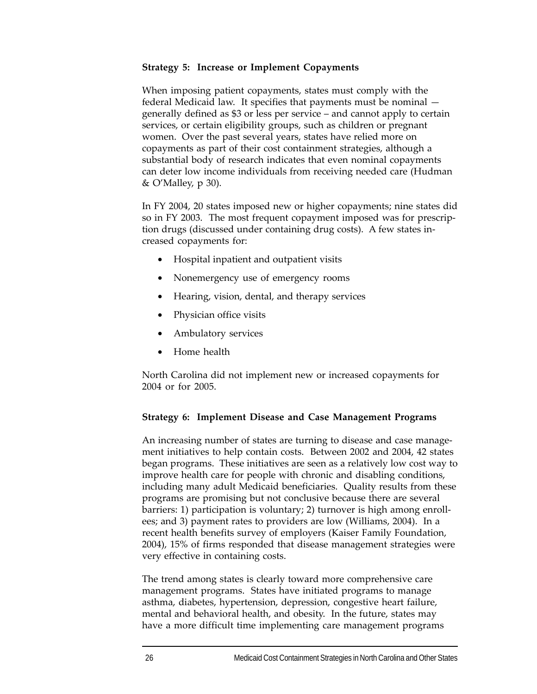#### **Strategy 5: Increase or Implement Copayments**

When imposing patient copayments, states must comply with the federal Medicaid law. It specifies that payments must be nominal generally defined as \$3 or less per service – and cannot apply to certain services, or certain eligibility groups, such as children or pregnant women. Over the past several years, states have relied more on copayments as part of their cost containment strategies, although a substantial body of research indicates that even nominal copayments can deter low income individuals from receiving needed care (Hudman & O'Malley, p 30).

In FY 2004, 20 states imposed new or higher copayments; nine states did so in FY 2003. The most frequent copayment imposed was for prescription drugs (discussed under containing drug costs). A few states increased copayments for:

- Hospital inpatient and outpatient visits
- Nonemergency use of emergency rooms
- Hearing, vision, dental, and therapy services
- Physician office visits
- Ambulatory services
- Home health

North Carolina did not implement new or increased copayments for 2004 or for 2005.

#### **Strategy 6: Implement Disease and Case Management Programs**

An increasing number of states are turning to disease and case management initiatives to help contain costs. Between 2002 and 2004, 42 states began programs. These initiatives are seen as a relatively low cost way to improve health care for people with chronic and disabling conditions, including many adult Medicaid beneficiaries. Quality results from these programs are promising but not conclusive because there are several barriers: 1) participation is voluntary; 2) turnover is high among enrollees; and 3) payment rates to providers are low (Williams, 2004). In a recent health benefits survey of employers (Kaiser Family Foundation, 2004), 15% of firms responded that disease management strategies were very effective in containing costs.

The trend among states is clearly toward more comprehensive care management programs. States have initiated programs to manage asthma, diabetes, hypertension, depression, congestive heart failure, mental and behavioral health, and obesity. In the future, states may have a more difficult time implementing care management programs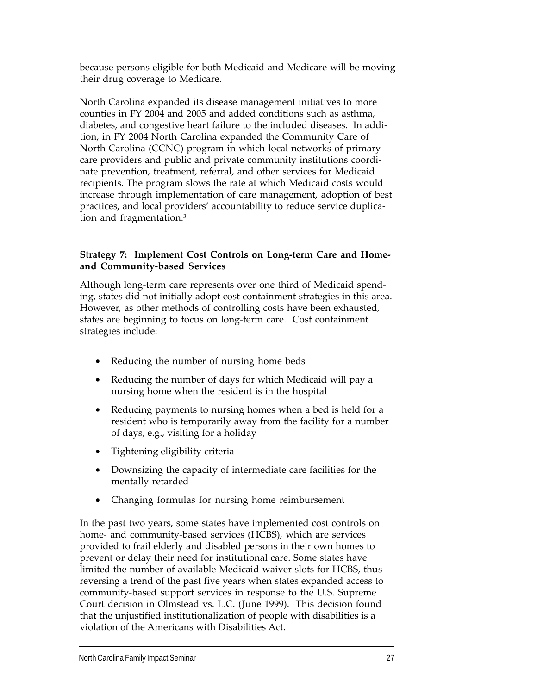because persons eligible for both Medicaid and Medicare will be moving their drug coverage to Medicare.

North Carolina expanded its disease management initiatives to more counties in FY 2004 and 2005 and added conditions such as asthma, diabetes, and congestive heart failure to the included diseases. In addition, in FY 2004 North Carolina expanded the Community Care of North Carolina (CCNC) program in which local networks of primary care providers and public and private community institutions coordinate prevention, treatment, referral, and other services for Medicaid recipients. The program slows the rate at which Medicaid costs would increase through implementation of care management, adoption of best practices, and local providers' accountability to reduce service duplication and fragmentation.<sup>3</sup>

# **Strategy 7: Implement Cost Controls on Long-term Care and Homeand Community-based Services**

Although long-term care represents over one third of Medicaid spending, states did not initially adopt cost containment strategies in this area. However, as other methods of controlling costs have been exhausted, states are beginning to focus on long-term care. Cost containment strategies include:

- Reducing the number of nursing home beds
- Reducing the number of days for which Medicaid will pay a nursing home when the resident is in the hospital
- Reducing payments to nursing homes when a bed is held for a resident who is temporarily away from the facility for a number of days, e.g., visiting for a holiday
- Tightening eligibility criteria
- Downsizing the capacity of intermediate care facilities for the mentally retarded
- Changing formulas for nursing home reimbursement

In the past two years, some states have implemented cost controls on home- and community-based services (HCBS), which are services provided to frail elderly and disabled persons in their own homes to prevent or delay their need for institutional care. Some states have limited the number of available Medicaid waiver slots for HCBS, thus reversing a trend of the past five years when states expanded access to community-based support services in response to the U.S. Supreme Court decision in Olmstead vs. L.C. (June 1999). This decision found that the unjustified institutionalization of people with disabilities is a violation of the Americans with Disabilities Act.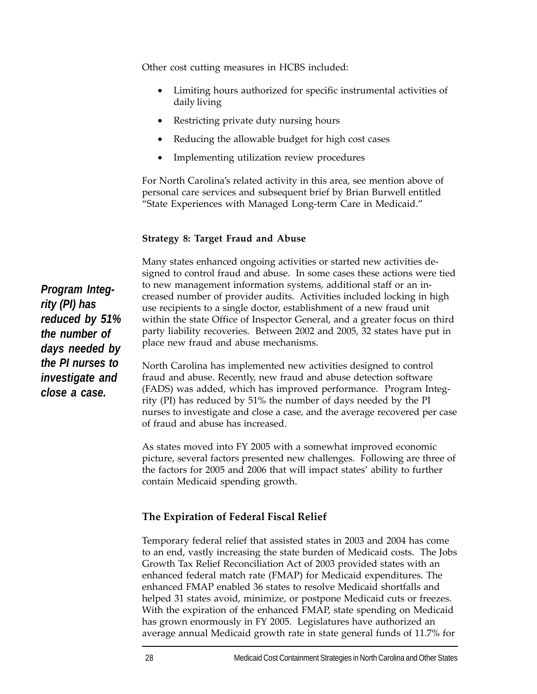Other cost cutting measures in HCBS included:

- Limiting hours authorized for specific instrumental activities of daily living
- Restricting private duty nursing hours
- Reducing the allowable budget for high cost cases
- Implementing utilization review procedures

For North Carolina's related activity in this area, see mention above of personal care services and subsequent brief by Brian Burwell entitled "State Experiences with Managed Long-term Care in Medicaid."

# **Strategy 8: Target Fraud and Abuse**

Many states enhanced ongoing activities or started new activities designed to control fraud and abuse. In some cases these actions were tied to new management information systems, additional staff or an increased number of provider audits. Activities included locking in high use recipients to a single doctor, establishment of a new fraud unit within the state Office of Inspector General, and a greater focus on third party liability recoveries. Between 2002 and 2005, 32 states have put in place new fraud and abuse mechanisms.

North Carolina has implemented new activities designed to control fraud and abuse. Recently, new fraud and abuse detection software (FADS) was added, which has improved performance. Program Integrity (PI) has reduced by 51% the number of days needed by the PI nurses to investigate and close a case, and the average recovered per case of fraud and abuse has increased.

As states moved into FY 2005 with a somewhat improved economic picture, several factors presented new challenges. Following are three of the factors for 2005 and 2006 that will impact states' ability to further contain Medicaid spending growth.

# **The Expiration of Federal Fiscal Relief**

Temporary federal relief that assisted states in 2003 and 2004 has come to an end, vastly increasing the state burden of Medicaid costs. The Jobs Growth Tax Relief Reconciliation Act of 2003 provided states with an enhanced federal match rate (FMAP) for Medicaid expenditures. The enhanced FMAP enabled 36 states to resolve Medicaid shortfalls and helped 31 states avoid, minimize, or postpone Medicaid cuts or freezes. With the expiration of the enhanced FMAP, state spending on Medicaid has grown enormously in FY 2005. Legislatures have authorized an average annual Medicaid growth rate in state general funds of 11.7% for

*Program Integrity (PI) has reduced by 51% the number of days needed by the PI nurses to investigate and close a case.*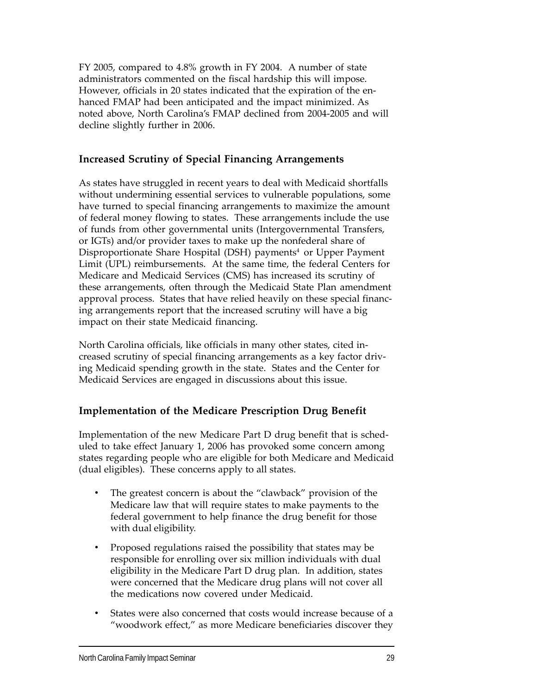FY 2005, compared to 4.8% growth in FY 2004. A number of state administrators commented on the fiscal hardship this will impose. However, officials in 20 states indicated that the expiration of the enhanced FMAP had been anticipated and the impact minimized. As noted above, North Carolina's FMAP declined from 2004-2005 and will decline slightly further in 2006.

# **Increased Scrutiny of Special Financing Arrangements**

As states have struggled in recent years to deal with Medicaid shortfalls without undermining essential services to vulnerable populations, some have turned to special financing arrangements to maximize the amount of federal money flowing to states. These arrangements include the use of funds from other governmental units (Intergovernmental Transfers, or IGTs) and/or provider taxes to make up the nonfederal share of Disproportionate Share Hospital (DSH) payments<sup>4</sup> or Upper Payment Limit (UPL) reimbursements. At the same time, the federal Centers for Medicare and Medicaid Services (CMS) has increased its scrutiny of these arrangements, often through the Medicaid State Plan amendment approval process. States that have relied heavily on these special financing arrangements report that the increased scrutiny will have a big impact on their state Medicaid financing.

North Carolina officials, like officials in many other states, cited increased scrutiny of special financing arrangements as a key factor driving Medicaid spending growth in the state. States and the Center for Medicaid Services are engaged in discussions about this issue.

# **Implementation of the Medicare Prescription Drug Benefit**

Implementation of the new Medicare Part D drug benefit that is scheduled to take effect January 1, 2006 has provoked some concern among states regarding people who are eligible for both Medicare and Medicaid (dual eligibles). These concerns apply to all states.

- The greatest concern is about the "clawback" provision of the Medicare law that will require states to make payments to the federal government to help finance the drug benefit for those with dual eligibility.
- Proposed regulations raised the possibility that states may be responsible for enrolling over six million individuals with dual eligibility in the Medicare Part D drug plan. In addition, states were concerned that the Medicare drug plans will not cover all the medications now covered under Medicaid.
- States were also concerned that costs would increase because of a "woodwork effect," as more Medicare beneficiaries discover they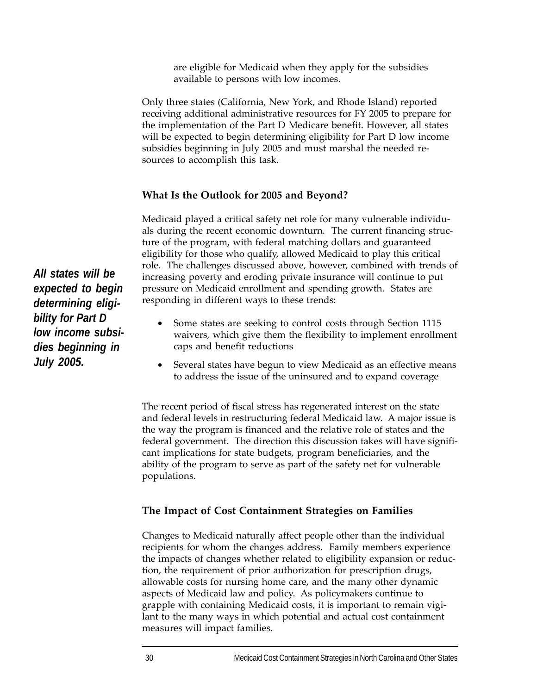are eligible for Medicaid when they apply for the subsidies available to persons with low incomes.

Only three states (California, New York, and Rhode Island) reported receiving additional administrative resources for FY 2005 to prepare for the implementation of the Part D Medicare benefit. However, all states will be expected to begin determining eligibility for Part D low income subsidies beginning in July 2005 and must marshal the needed resources to accomplish this task.

# **What Is the Outlook for 2005 and Beyond?**

Medicaid played a critical safety net role for many vulnerable individuals during the recent economic downturn. The current financing structure of the program, with federal matching dollars and guaranteed eligibility for those who qualify, allowed Medicaid to play this critical role. The challenges discussed above, however, combined with trends of increasing poverty and eroding private insurance will continue to put pressure on Medicaid enrollment and spending growth. States are responding in different ways to these trends:

- Some states are seeking to control costs through Section 1115 waivers, which give them the flexibility to implement enrollment caps and benefit reductions
- Several states have begun to view Medicaid as an effective means to address the issue of the uninsured and to expand coverage

The recent period of fiscal stress has regenerated interest on the state and federal levels in restructuring federal Medicaid law. A major issue is the way the program is financed and the relative role of states and the federal government. The direction this discussion takes will have significant implications for state budgets, program beneficiaries, and the ability of the program to serve as part of the safety net for vulnerable populations.

# **The Impact of Cost Containment Strategies on Families**

Changes to Medicaid naturally affect people other than the individual recipients for whom the changes address. Family members experience the impacts of changes whether related to eligibility expansion or reduction, the requirement of prior authorization for prescription drugs, allowable costs for nursing home care, and the many other dynamic aspects of Medicaid law and policy. As policymakers continue to grapple with containing Medicaid costs, it is important to remain vigilant to the many ways in which potential and actual cost containment measures will impact families.

*All states will be expected to begin determining eligibility for Part D low income subsidies beginning in July 2005.*